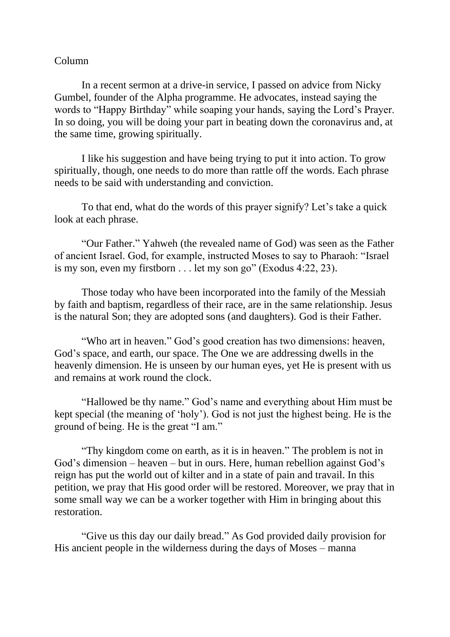## Column

In a recent sermon at a drive-in service, I passed on advice from Nicky Gumbel, founder of the Alpha programme. He advocates, instead saying the words to "Happy Birthday" while soaping your hands, saying the Lord's Prayer. In so doing, you will be doing your part in beating down the coronavirus and, at the same time, growing spiritually.

I like his suggestion and have being trying to put it into action. To grow spiritually, though, one needs to do more than rattle off the words. Each phrase needs to be said with understanding and conviction.

To that end, what do the words of this prayer signify? Let's take a quick look at each phrase.

"Our Father." Yahweh (the revealed name of God) was seen as the Father of ancient Israel. God, for example, instructed Moses to say to Pharaoh: "Israel is my son, even my firstborn  $\dots$  let my son go" (Exodus 4:22, 23).

Those today who have been incorporated into the family of the Messiah by faith and baptism, regardless of their race, are in the same relationship. Jesus is the natural Son; they are adopted sons (and daughters). God is their Father.

"Who art in heaven." God's good creation has two dimensions: heaven, God's space, and earth, our space. The One we are addressing dwells in the heavenly dimension. He is unseen by our human eyes, yet He is present with us and remains at work round the clock.

"Hallowed be thy name." God's name and everything about Him must be kept special (the meaning of 'holy'). God is not just the highest being. He is the ground of being. He is the great "I am."

"Thy kingdom come on earth, as it is in heaven." The problem is not in God's dimension – heaven – but in ours. Here, human rebellion against God's reign has put the world out of kilter and in a state of pain and travail. In this petition, we pray that His good order will be restored. Moreover, we pray that in some small way we can be a worker together with Him in bringing about this restoration.

"Give us this day our daily bread." As God provided daily provision for His ancient people in the wilderness during the days of Moses – manna